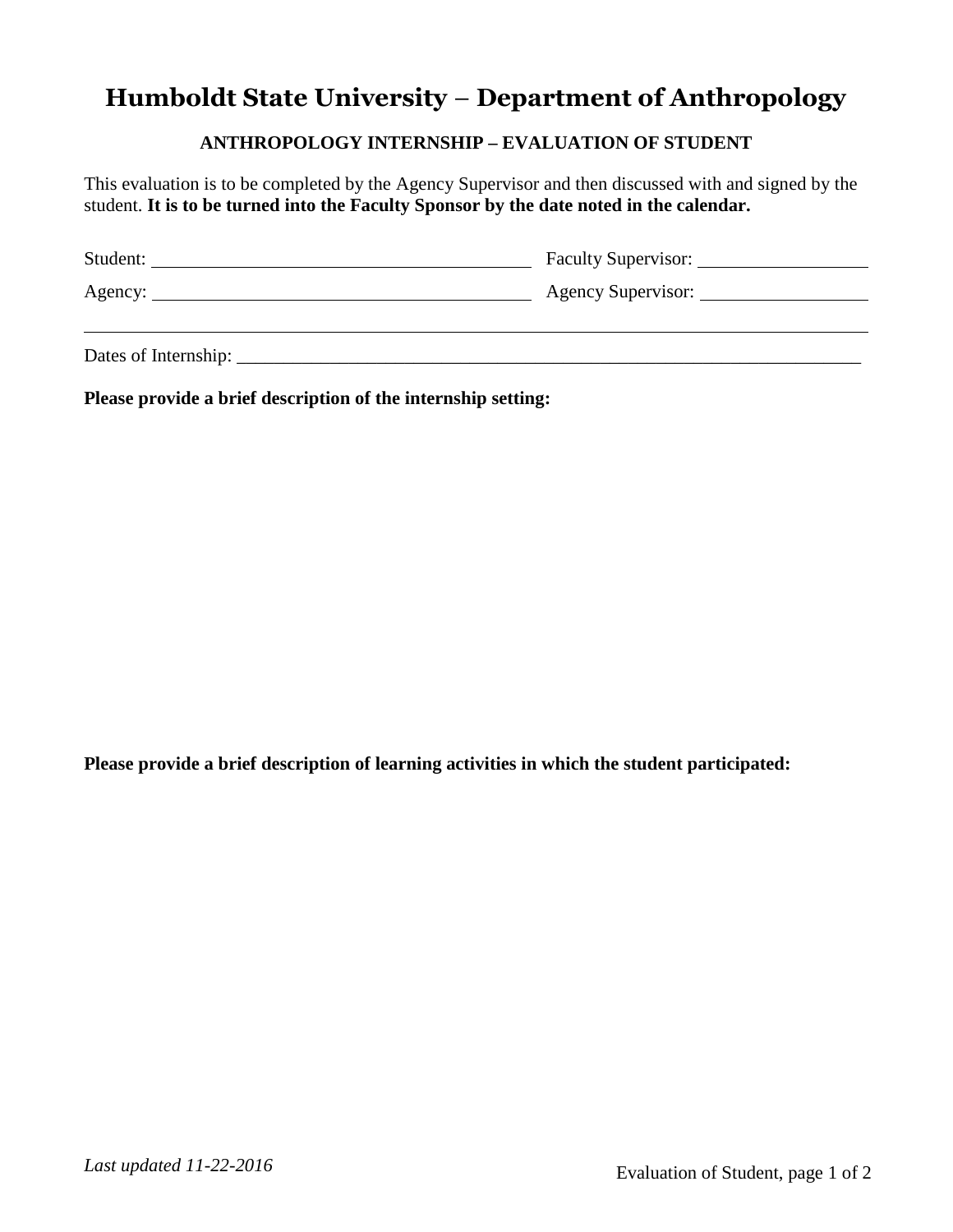## **Humboldt State University** – **Department of Anthropology**

## **ANTHROPOLOGY INTERNSHIP – EVALUATION OF STUDENT**

This evaluation is to be completed by the Agency Supervisor and then discussed with and signed by the student. **It is to be turned into the Faculty Sponsor by the date noted in the calendar.**

| Student: | <b>Faculty Supervisor:</b> |
|----------|----------------------------|
| Agency:  | <b>Agency Supervisor:</b>  |
|          |                            |

Dates of Internship: \_\_\_\_\_\_\_\_\_\_\_\_\_\_\_\_\_\_\_\_\_\_\_\_\_\_\_\_\_\_\_\_\_\_\_\_\_\_\_\_\_\_\_\_\_\_\_\_\_\_\_\_\_\_\_\_\_\_\_\_\_\_\_\_\_\_\_

**Please provide a brief description of the internship setting:**

**Please provide a brief description of learning activities in which the student participated:**